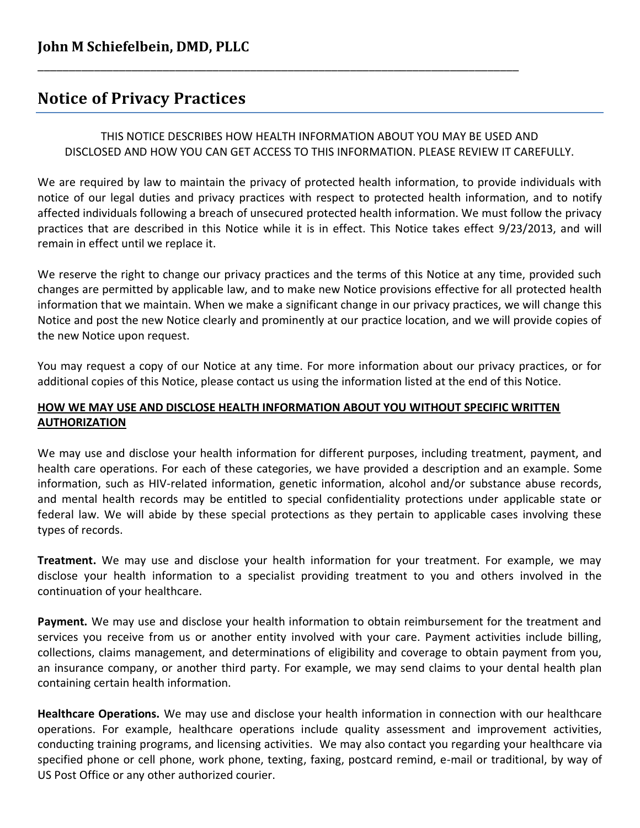# **Notice of Privacy Practices**

### THIS NOTICE DESCRIBES HOW HEALTH INFORMATION ABOUT YOU MAY BE USED AND DISCLOSED AND HOW YOU CAN GET ACCESS TO THIS INFORMATION. PLEASE REVIEW IT CAREFULLY.

\_\_\_\_\_\_\_\_\_\_\_\_\_\_\_\_\_\_\_\_\_\_\_\_\_\_\_\_\_\_\_\_\_\_\_\_\_\_\_\_\_\_\_\_\_\_\_\_\_\_\_\_\_\_\_\_\_\_\_\_\_\_\_\_\_\_\_\_\_\_\_\_\_\_\_\_\_

We are required by law to maintain the privacy of protected health information, to provide individuals with notice of our legal duties and privacy practices with respect to protected health information, and to notify affected individuals following a breach of unsecured protected health information. We must follow the privacy practices that are described in this Notice while it is in effect. This Notice takes effect 9/23/2013, and will remain in effect until we replace it.

We reserve the right to change our privacy practices and the terms of this Notice at any time, provided such changes are permitted by applicable law, and to make new Notice provisions effective for all protected health information that we maintain. When we make a significant change in our privacy practices, we will change this Notice and post the new Notice clearly and prominently at our practice location, and we will provide copies of the new Notice upon request.

You may request a copy of our Notice at any time. For more information about our privacy practices, or for additional copies of this Notice, please contact us using the information listed at the end of this Notice.

## **HOW WE MAY USE AND DISCLOSE HEALTH INFORMATION ABOUT YOU WITHOUT SPECIFIC WRITTEN AUTHORIZATION**

We may use and disclose your health information for different purposes, including treatment, payment, and health care operations. For each of these categories, we have provided a description and an example. Some information, such as HIV-related information, genetic information, alcohol and/or substance abuse records, and mental health records may be entitled to special confidentiality protections under applicable state or federal law. We will abide by these special protections as they pertain to applicable cases involving these types of records.

**Treatment.** We may use and disclose your health information for your treatment. For example, we may disclose your health information to a specialist providing treatment to you and others involved in the continuation of your healthcare.

**Payment.** We may use and disclose your health information to obtain reimbursement for the treatment and services you receive from us or another entity involved with your care. Payment activities include billing, collections, claims management, and determinations of eligibility and coverage to obtain payment from you, an insurance company, or another third party. For example, we may send claims to your dental health plan containing certain health information.

**Healthcare Operations.** We may use and disclose your health information in connection with our healthcare operations. For example, healthcare operations include quality assessment and improvement activities, conducting training programs, and licensing activities. We may also contact you regarding your healthcare via specified phone or cell phone, work phone, texting, faxing, postcard remind, e-mail or traditional, by way of US Post Office or any other authorized courier.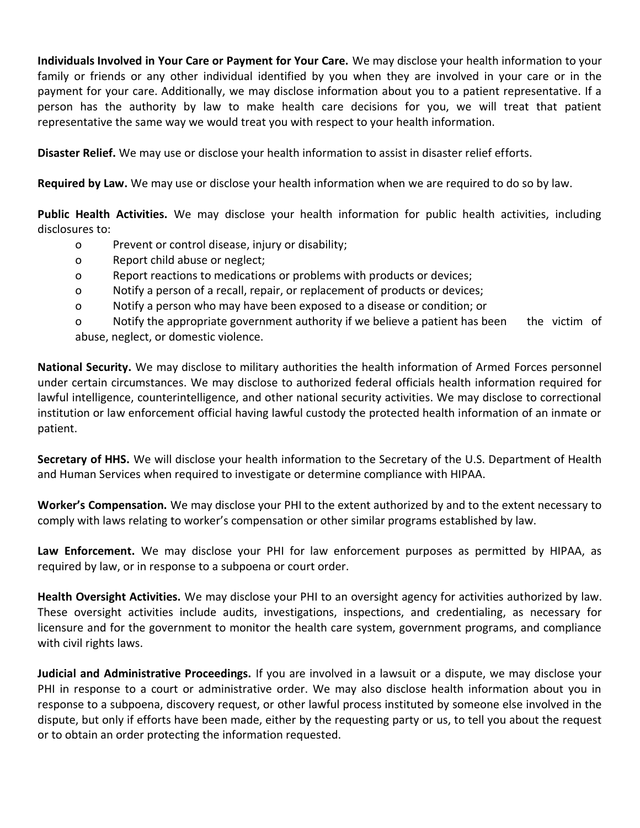**Individuals Involved in Your Care or Payment for Your Care.** We may disclose your health information to your family or friends or any other individual identified by you when they are involved in your care or in the payment for your care. Additionally, we may disclose information about you to a patient representative. If a person has the authority by law to make health care decisions for you, we will treat that patient representative the same way we would treat you with respect to your health information.

**Disaster Relief.** We may use or disclose your health information to assist in disaster relief efforts.

**Required by Law.** We may use or disclose your health information when we are required to do so by law.

**Public Health Activities.** We may disclose your health information for public health activities, including disclosures to:

- o Prevent or control disease, injury or disability;
- o Report child abuse or neglect;
- o Report reactions to medications or problems with products or devices;
- o Notify a person of a recall, repair, or replacement of products or devices;
- o Notify a person who may have been exposed to a disease or condition; or

o Notify the appropriate government authority if we believe a patient has been the victim of abuse, neglect, or domestic violence.

**National Security.** We may disclose to military authorities the health information of Armed Forces personnel under certain circumstances. We may disclose to authorized federal officials health information required for lawful intelligence, counterintelligence, and other national security activities. We may disclose to correctional institution or law enforcement official having lawful custody the protected health information of an inmate or patient.

**Secretary of HHS.** We will disclose your health information to the Secretary of the U.S. Department of Health and Human Services when required to investigate or determine compliance with HIPAA.

**Worker's Compensation.** We may disclose your PHI to the extent authorized by and to the extent necessary to comply with laws relating to worker's compensation or other similar programs established by law.

**Law Enforcement.** We may disclose your PHI for law enforcement purposes as permitted by HIPAA, as required by law, or in response to a subpoena or court order.

**Health Oversight Activities.** We may disclose your PHI to an oversight agency for activities authorized by law. These oversight activities include audits, investigations, inspections, and credentialing, as necessary for licensure and for the government to monitor the health care system, government programs, and compliance with civil rights laws.

**Judicial and Administrative Proceedings.** If you are involved in a lawsuit or a dispute, we may disclose your PHI in response to a court or administrative order. We may also disclose health information about you in response to a subpoena, discovery request, or other lawful process instituted by someone else involved in the dispute, but only if efforts have been made, either by the requesting party or us, to tell you about the request or to obtain an order protecting the information requested.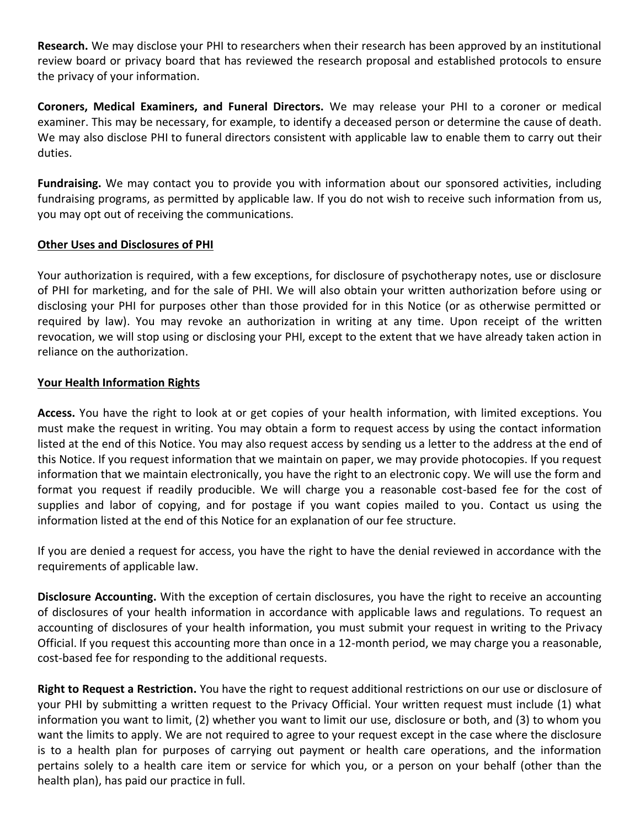**Research.** We may disclose your PHI to researchers when their research has been approved by an institutional review board or privacy board that has reviewed the research proposal and established protocols to ensure the privacy of your information.

**Coroners, Medical Examiners, and Funeral Directors.** We may release your PHI to a coroner or medical examiner. This may be necessary, for example, to identify a deceased person or determine the cause of death. We may also disclose PHI to funeral directors consistent with applicable law to enable them to carry out their duties.

**Fundraising.** We may contact you to provide you with information about our sponsored activities, including fundraising programs, as permitted by applicable law. If you do not wish to receive such information from us, you may opt out of receiving the communications.

#### **Other Uses and Disclosures of PHI**

Your authorization is required, with a few exceptions, for disclosure of psychotherapy notes, use or disclosure of PHI for marketing, and for the sale of PHI. We will also obtain your written authorization before using or disclosing your PHI for purposes other than those provided for in this Notice (or as otherwise permitted or required by law). You may revoke an authorization in writing at any time. Upon receipt of the written revocation, we will stop using or disclosing your PHI, except to the extent that we have already taken action in reliance on the authorization.

#### **Your Health Information Rights**

**Access.** You have the right to look at or get copies of your health information, with limited exceptions. You must make the request in writing. You may obtain a form to request access by using the contact information listed at the end of this Notice. You may also request access by sending us a letter to the address at the end of this Notice. If you request information that we maintain on paper, we may provide photocopies. If you request information that we maintain electronically, you have the right to an electronic copy. We will use the form and format you request if readily producible. We will charge you a reasonable cost-based fee for the cost of supplies and labor of copying, and for postage if you want copies mailed to you. Contact us using the information listed at the end of this Notice for an explanation of our fee structure.

If you are denied a request for access, you have the right to have the denial reviewed in accordance with the requirements of applicable law.

**Disclosure Accounting.** With the exception of certain disclosures, you have the right to receive an accounting of disclosures of your health information in accordance with applicable laws and regulations. To request an accounting of disclosures of your health information, you must submit your request in writing to the Privacy Official. If you request this accounting more than once in a 12-month period, we may charge you a reasonable, cost-based fee for responding to the additional requests.

**Right to Request a Restriction.** You have the right to request additional restrictions on our use or disclosure of your PHI by submitting a written request to the Privacy Official. Your written request must include (1) what information you want to limit, (2) whether you want to limit our use, disclosure or both, and (3) to whom you want the limits to apply. We are not required to agree to your request except in the case where the disclosure is to a health plan for purposes of carrying out payment or health care operations, and the information pertains solely to a health care item or service for which you, or a person on your behalf (other than the health plan), has paid our practice in full.